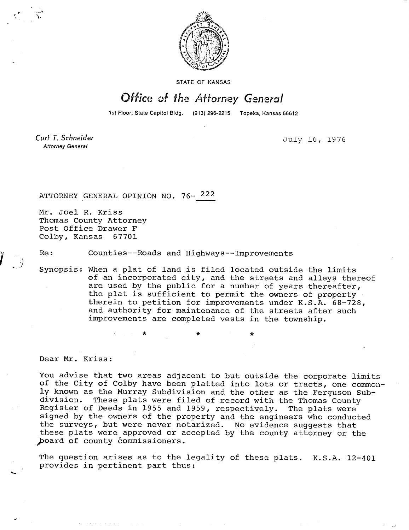

STATE OF KANSAS

## Office of the Attorney General

1st Floor, State Capitol Bldg. (913) 296-2215 Topeka, Kansas 66612

Curt T. Schneider **Attorney General** 

July 16, 1976

ATTORNEY GENERAL OPINION NO. 76- 222

Mr. Joel R. Kriss Thomas County Attorney Post Office Drawer F Colby, Kansas 67701

Re: Counties--Roads and Highways--Improvements

Synopsis: When a plat of land is filed located outside the limits of an incorporated city, and the streets and alleys thereof are used by the public for a number of years thereafter, the plat is sufficient to permit the owners of property therein to petition for improvements under K.S.A. 68-728, and authority for maintenance of the streets after such improvements are completed vests in the township.

Dear Mr. Kriss:

You advise that two areas adjacent to but outside the corporate limits of the City of Colby have been platted into lots or tracts, one commonly known as the Murray Subdivision and the other as the Ferguson Sub-<br>division. These plats were filed of record with the Thomas County These plats were filed of record with the Thomas County Register of Deeds in 1955 and 1959, respectively. The plats were signed by the owners of the property and the engineers who conducted the surveys, but were never notarized. No evidence suggests that these plats were approved or accepted by the county attorney or the ,hoard of county Commissioners.

The question arises as to the legality of these plats. K.S.A. 12-401 provides in pertinent part thus: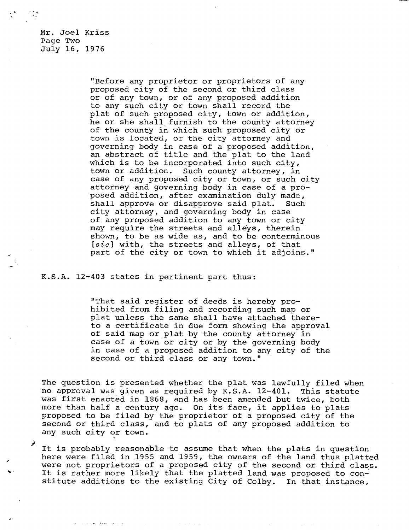Mr. Joel Kriss Page Two July 16, 1976

> "Before any proprietor or proprietors of any proposed city of the second or third class or of any town, or of any proposed addition to any such city or town shall record the plat of such proposed city, town or addition, he or she shall. furnish to the county attorney of the county in which such proposed city or town is located, or the city attorney and governing body in case of a proposed addition, an abstract of title and the plat to the land which is to be incorporated into such city, town or addition. Such county attorney, in case of any proposed city or town, or such city attorney and governing body in case of a proposed addition, after examination duly made, shall approve or disapprove said plat. Such city attorney, and governing body in case of any proposed addition to any town or city may require the streets and alleys, therein shown, to be as wide as, and to be conterminous [sic] with, the streets and alleys, of that part of the city or town to which it adjoins."

K.S.A. 12-403 states in pertinent part thus:

"That said register of deeds is hereby prohibited from filing and recording such map or plat unless the same shall have attached thereto a certificate in due form showing the approval of said map or plat by the county attorney in case of a town or city or by the governing body in case of a proposed addition to any city of the second or third class or any town."

The question is presented whether the plat was lawfully filed when no approval was given as required by K.S.A. 12-401. This statute was first enacted in 1868, and has been amended but twice, both more than half a century ago. On its face, it applies to plats proposed to be filed by the proprietor of a proposed city of the second or third class, and to plats of any proposed addition to any such city or town.

It is probably reasonable to assume that when the plats in question here were filed in 1955 and 1959, the owners of the land thus platted were not proprietors of a proposed city of the second or third class. It is rather more likely that the platted land was proposed to constitute additions to the existing City of Colby. In that instance,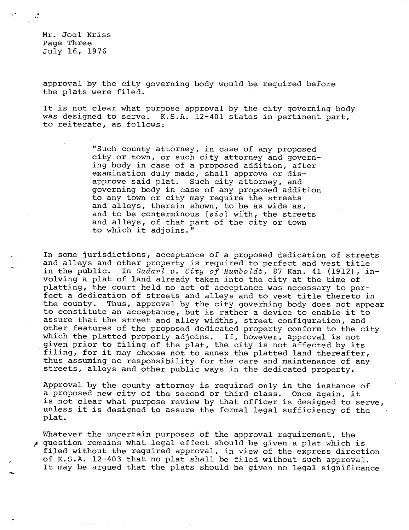Mr. Joel Kriss Page Three July 16, 1976

approval by the city governing body would be required before the plats were filed.

It is not clear what purpose approval by the city governing body was designed to serve. K.S.A. 12-401 states in pertinent part, to reiterate, as follows:

> "Such county attorney, in case of any proposed city or town, or such city attorney and governing body in case of a proposed addition, after examination duly made, shall approve or disapprove said plat. Such city attorney, and governing body in case of any proposed addition to any town or city may require the streets and alleys, therein shown, to be as wide as, and to be conterminous  $[sic]$  with, the streets and alleys, of that part of the city or town to which it adjoins."

In some jurisdictions, acceptance of a proposed dedication of streets and alleys and other property is required to perfect and vest title in the public. In Gadarl v. City of Humboldt, 87 Kan. 41 (1912), involving a plat of land already taken into the city at the time of platting, the court held no act of acceptance was necessary to perfect a dedication of streets and alleys and to vest title thereto in the county. Thus, approval by the city governing body does not appear to constitute an acceptance, but is rather a device to enable it to assure that the street and alley widths, street configuration, and other features of the proposed dedicated property conform to the city which the platted property adjoins. If, however, approval is not given prior to filing of the plat, the city is not affected by its filing, for it may choose not to annex the platted land thereafter, thus assuming no responsibility for the care and maintenance of any streets, alleys and other public ways in the dedicated property.

Approval by the county attorney is required only in the instance of a proposed new city of the second or third class. Once again, it is not clear what purpose review by that officer is designed to serve, unless it is designed to assure the formal legal sufficiency of the plat.

Whatever the uncertain purposes of the approval requirement, the question remains what legal effect should be given a plat which is filed without the required approval, in view of the express direction of K.S.A. 12-403 that no plat shall be filed without such approval. It may be argued that the plats should be given no legal significance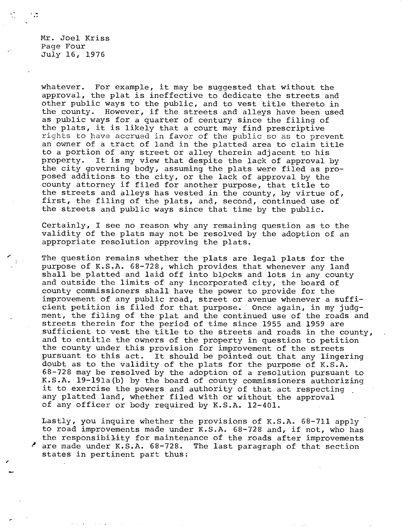Mr. Joel Kriss Page Four July 16, 1976

\* 7.

whatever. For example, it may be suggested that without the approval, the plat is ineffective to dedicate the streets and other public ways to the public, and to vest title thereto in the county. However, if the streets and alleys have been used as public ways for a quarter of century since the filing of the plats, it is likely that a court may find prescriptive rights to have accrued in favor of the public so as to prevent an owner of a tract of land in the platted area to claim title to a portion of any street or alley therein adjacent to his property. It is my view that despite the lack of approval by the city governing body, assuming the plats were filed as proposed additions to the city, or the lack of approval by the county attorney if filed for another purpose, that title to the streets and alleys has vested in the county, by virtue of, first, the filing of the plats, and, second, continued use of the streets and public ways since that time by the public.

Certainly, I see no reason why any remaining question as to the validity of the plats may not be resolved by the adoption of an appropriate resolution approving the plats.

The question remains whether the plats are legal plats for the purpose of K.S.A. 68-728, which provides that whenever any land shall be platted and laid off into blocks and lots in any county and outside the limits of any incorporated city, the board of county commissioners shall have the power to provide for the improvement of any public road, street or avenue whenever a sufficient petition is filed for that purpose. Once again, in my judgment, the filing of the plat and the continued use of the roads and streets therein for the period of time since 1955 and 1959 are sufficient to vest the title to the streets and roads in the county, and to entitle the owners of the property in question to petition the county under this provision for improvement of the streets pursuant to this act. It should be pointed out that any lingering doubt as to the validity of the plats for the purpose of K.S.A. 68-728 may be resolved by the adoption of a resolution pursuant to K.S.A. 19-191a(b) by the board of county commissioners authorizing it to exercise the powers and authority of that act respecting any platted land, whether filed with or without the approval of any officer or body required by K.S.A. 12-401.

Lastly, you inquire whether the provisions of K.S.A. 68-711 apply to road improvements made under K.S.A. 68-728 and, if not, who has the responsibility for maintenance of the roads after improvements are made under K.S.A. 68-728. The last paragraph of that section states in pertinent part thus: